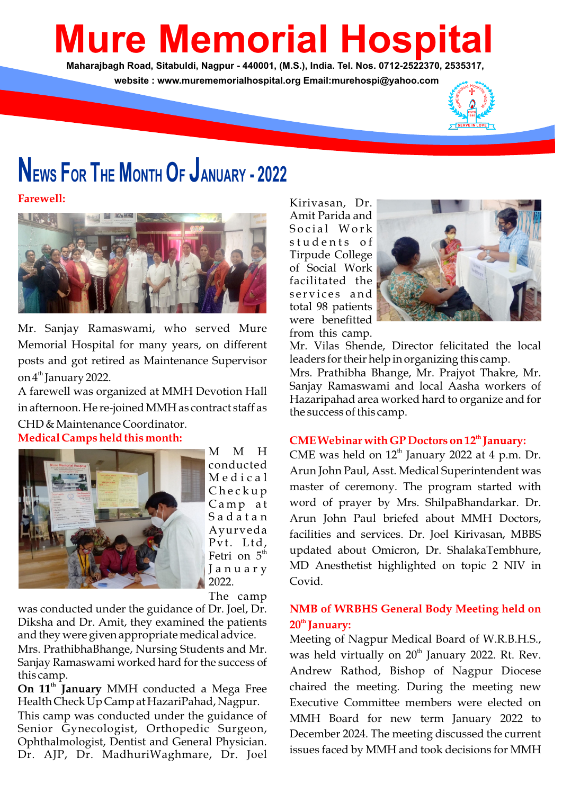# **Mure Memorial Hospital**

**Maharajbagh Road, Sitabuldi, Nagpur - 440001, (M.S.), India. Tel. Nos. 0712-2522370, 2535317, website : www.murememorialhospital.org Email:murehospi@yahoo.com**



# **NEWS FOR THE MONTH O<sup>F</sup> JANUARY - <sup>2022</sup>**

**Farewell:**



Mr. Sanjay Ramaswami, who served Mure Memorial Hospital for many years, on different posts and got retired as Maintenance Supervisor on 4<sup>th</sup> January 2022.

**Medical Camps held this month:** A farewell was organized at MMH Devotion Hall in afternoon. He re-joined MMH as contract staff as CHD & Maintenance Coordinator.



M M H conducted M e d i c a l C h e c k u p Camp at S a d a t a n Ayurveda Pvt. Ltd, Fetri on  $5<sup>th</sup>$ J a n u a r y 2022.

The camp

was conducted under the guidance of Dr. Joel, Dr. Diksha and Dr. Amit, they examined the patients and they were given appropriate medical advice.

Mrs. PrathibhaBhange, Nursing Students and Mr. Sanjay Ramaswami worked hard for the success of this camp.

On  $11<sup>th</sup>$  January MMH conducted a Mega Free Health Check Up Camp at HazariPahad, Nagpur.

This camp was conducted under the guidance of Senior Gynecologist, Orthopedic Surgeon, Ophthalmologist, Dentist and General Physician. Dr. AJP, Dr. MadhuriWaghmare, Dr. Joel

Kirivasan, Dr. Amit Parida and Social Work students of Tirpude College of Social Work facilitated the services and total 98 patients were benefitted from this camp.



Mr. Vilas Shende, Director felicitated the local leaders for their help in organizing this camp.

Mrs. Prathibha Bhange, Mr. Prajyot Thakre, Mr. Sanjay Ramaswami and local Aasha workers of Hazaripahad area worked hard to organize and for the success of this camp.

### **th CME Webinar with GP Doctors on 12 January:**

CME was held on  $12<sup>th</sup>$  January 2022 at 4 p.m. Dr. Arun John Paul, Asst. Medical Superintendent was master of ceremony. The program started with word of prayer by Mrs. ShilpaBhandarkar. Dr. Arun John Paul briefed about MMH Doctors, facilities and services. Dr. Joel Kirivasan, MBBS updated about Omicron, Dr. ShalakaTembhure, MD Anesthetist highlighted on topic 2 NIV in Covid.

# **NMB of WRBHS General Body Meeting held on th 20 January:**

Meeting of Nagpur Medical Board of W.R.B.H.S., was held virtually on 20<sup>th</sup> January 2022. Rt. Rev. Andrew Rathod, Bishop of Nagpur Diocese chaired the meeting. During the meeting new Executive Committee members were elected on MMH Board for new term January 2022 to December 2024. The meeting discussed the current issues faced by MMH and took decisions for MMH